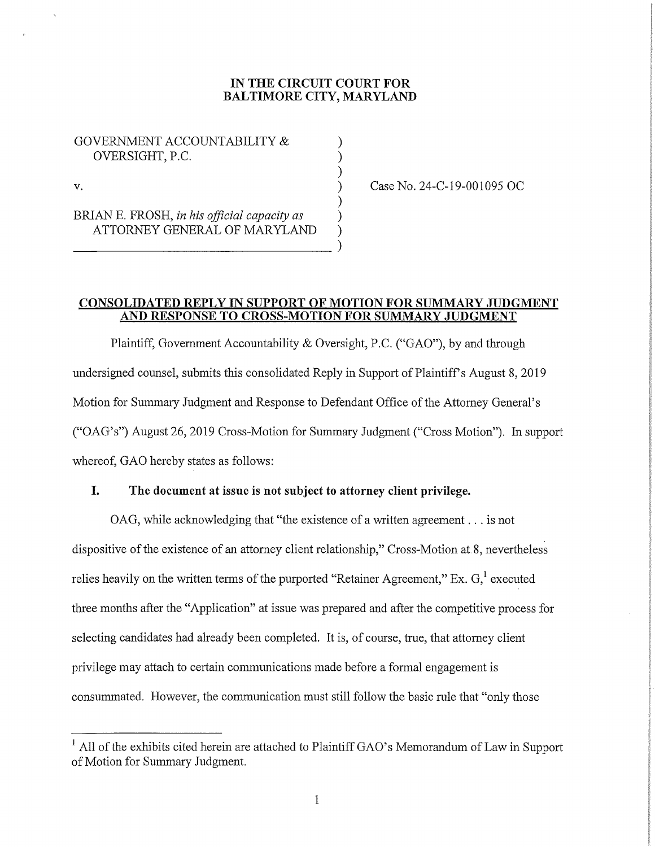### **IN THE CIRCUIT COURT FOR BALTIMORE CITY, MARYLAND**

)

)

GOVERNMENT ACCOUNTABILITY & ) OVERSIGHT, P.C. )

 $\mathbf v.$  )

-----------)

BRIAN E. FROSH, *in his official capacity as* ) ATTORNEY GENERAL OF MARYLAND ) Case No. 24-C-19-001095 OC

### **CONSOLIDATED REPLY IN SUPPORT OF MOTION FOR SUMMARY JUDGMENT AND RESPONSE TO CROSS-MOTION FOR SUMMARY JUDGMENT**

Plaintiff, Government Accountability & Oversight, P.C. ("GAO"), by and through undersigned counsel, submits this consolidated Reply in Support of Plaintiff's August 8, 2019 Motion for Summary Judgment and Response to Defendant Office of the Attorney General's ("OAG's") August 26, 2019 Cross-Motion for Summary Judgment ("Cross Motion"). In support whereof, GAO hereby states as follows:

# **I. The document at issue is not subject to attorney client privilege.**

OAG, while acknowledging that "the existence of a written agreement ... is not dispositive of the existence of an attorney client relationship," Cross-Motion at 8, nevertheless relies heavily on the written terms of the purported "Retainer Agreement," Ex.  $G<sub>i</sub><sup>1</sup>$  executed three months after the "Application" at issue was prepared and after the competitive process for selecting candidates had already been completed. It is, of course, true, that attorney client privilege may attach to certain communications made before a formal engagement is consummated. However, the communication must still follow the basic rule that "only those

<sup>&</sup>lt;sup>1</sup> All of the exhibits cited herein are attached to Plaintiff GAO's Memorandum of Law in Support of Motion for Summary Judgment.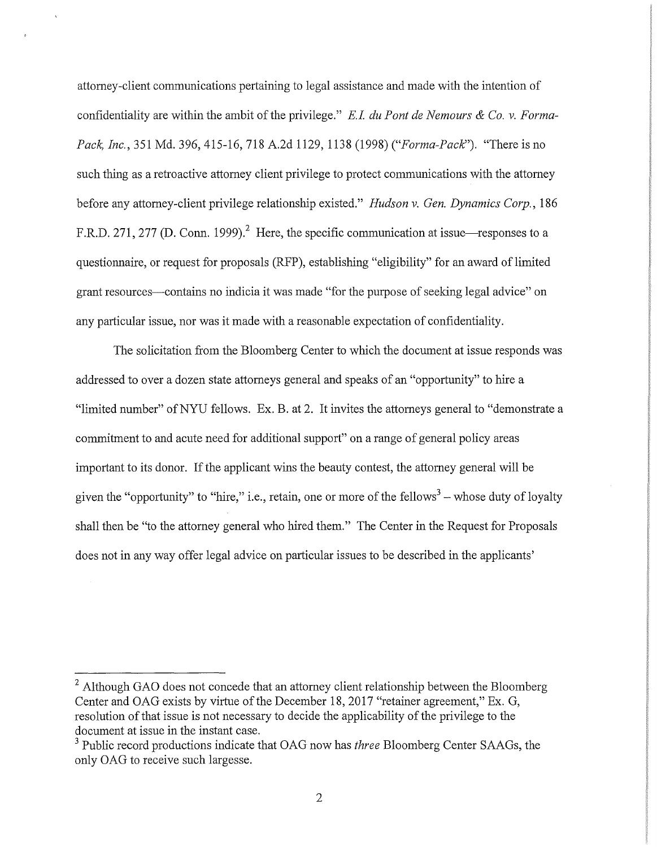attorney-client communications pertaining to legal assistance and made with the intention of confidentiality are within the ambit of the privilege." *E.I du Pont de Nemours & Co. v. Forma-Pack, Inc.,* 351 Md. 396, 415-16, 718 A.2d 1129, 1138 (1998) *("Forma-Pack:').* "There is no such thing as a retroactive attorney client privilege to protect communications with the attorney before any attorney-client privilege relationship existed." *Hudson v. Gen. Dynamics Corp.*, 186 F.R.D. 271, 277 (D. Conn. 1999).<sup>2</sup> Here, the specific communication at issue—responses to a questionnaire, or request for proposals (RFP), establishing "eligibility" for an award of limited grant resources-contains no indicia it was made "for the purpose of seeking legal advice" on any particular issue, nor was it made with a reasonable expectation of confidentiality.

The solicitation from the Bloomberg Center to which the document at issue responds was addressed to over a dozen state attorneys general and speaks of an "opportunity" to hire a "limited number" of NYU fellows. Ex. B. at 2. It invites the attorneys general to "demonstrate a commitment to and acute need for additional support" on a range of general policy areas important to its donor. If the applicant wins the beauty contest, the attorney general will be given the "opportunity" to "hire," i.e., retain, one or more of the fellows $3$  – whose duty of loyalty shall then be "to the attorney general who hired them." The Center in the Request for Proposals does not in any way offer legal advice on particular issues to be described in the applicants'

<sup>&</sup>lt;sup>2</sup> Although GAO does not concede that an attorney client relationship between the Bloomberg Center and OAG exists by virtue of the December 18, 2017 "retainer agreement," Ex. G, resolution of that issue is not necessary to decide the applicability of the privilege to the document at issue in the instant case.

<sup>&</sup>lt;sup>3</sup> Public record productions indicate that OAG now has *three* Bloomberg Center SAAGs, the only OAG to receive such largesse.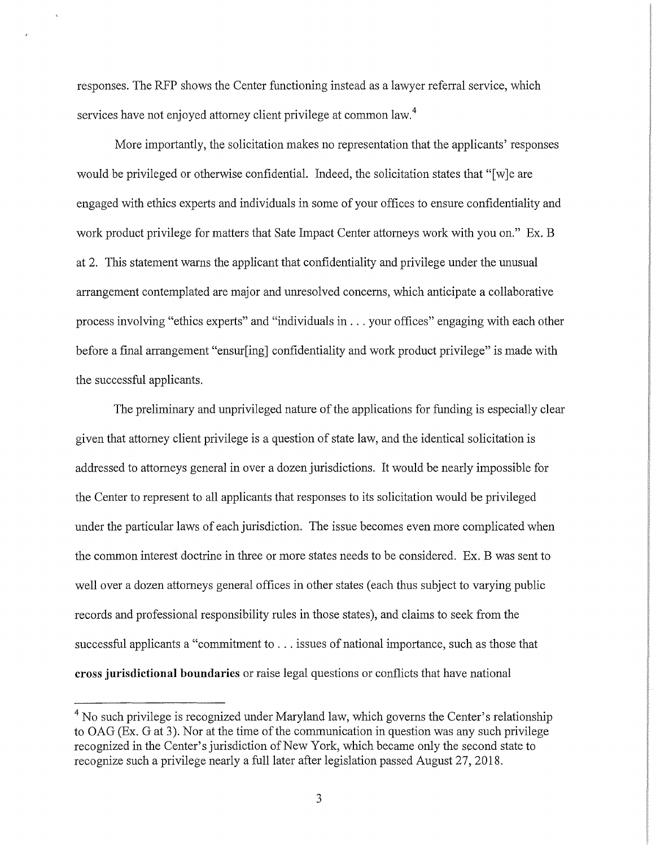responses. The RFP shows the Center functioning instead as a lawyer referral service, which services have not enjoyed attorney client privilege at common law.<sup>4</sup>

More importantly, the solicitation makes no representation that the applicants' responses would be privileged or otherwise confidential. Indeed, the solicitation states that "[w]e are engaged with ethics experts and individuals in some of your offices to ensure confidentiality and work product privilege for matters that Sate Impact Center attorneys work with you on." Ex. B at 2. This statement warns the applicant that confidentiality and privilege under the unusual arrangement contemplated are major and unresolved concerns, which anticipate a collaborative process involving "ethics experts" and "individuals in ... your offices" engaging with each other before a final arrangement "ensur[ing] confidentiality and work product privilege" is made with the successful applicants.

The preliminary and unprivileged nature of the applications for funding is especially clear given that attorney client privilege is a question of state law, and the identical solicitation is addressed to attorneys general in over a dozen jurisdictions. It would be nearly impossible for the Center to represent to all applicants that responses to its solicitation would be privileged under the particular laws of each jurisdiction. The issue becomes even more complicated when the common interest doctrine in three or more states needs to be considered. Ex. B was sent to well over a dozen attorneys general offices in other states (each thus subject to varying public records and professional responsibility rules in those states), and claims to seek from the successful applicants a "commitment to ... issues of national importance, such as those that **cross jurisdictional boundaries** or raise legal questions or conflicts that have national

<sup>&</sup>lt;sup>4</sup> No such privilege is recognized under Maryland law, which governs the Center's relationship to OAG (Ex. G at 3). Nor at the time of the communication in question was any such privilege recognized in the Center's jurisdiction of New York, which became only the second state to recognize such a privilege nearly a full later after legislation passed August 27, 2018.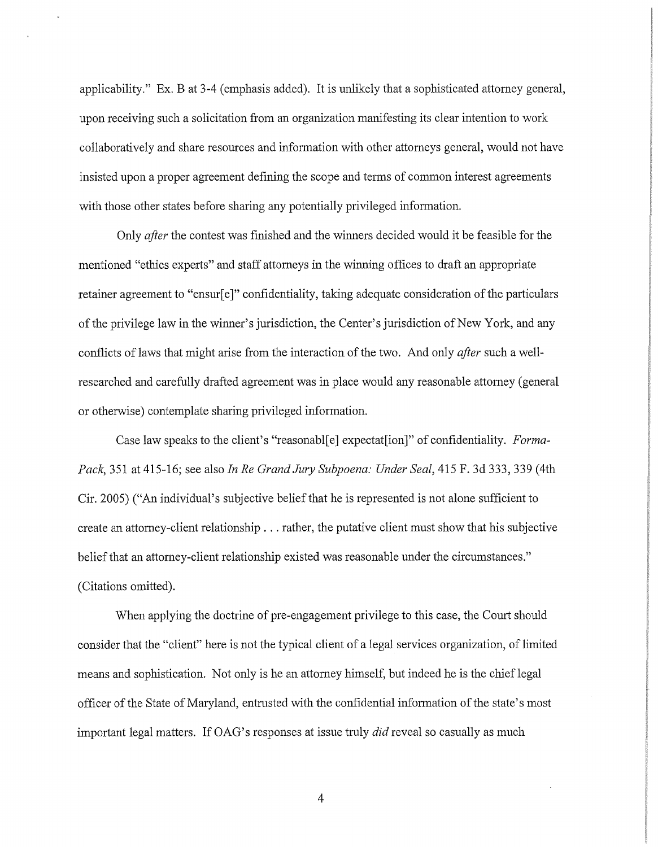applicability." Ex. B at 3-4 (emphasis added). It is unlikely that a sophisticated attorney general, upon receiving such a solicitation from an organization manifesting its clear intention to work collaboratively and share resources and information with other attorneys general, would not have insisted upon a proper agreement defining the scope and terms of common interest agreements with those other states before sharing any potentially privileged information.

Only *after* the contest was finished and the winners decided would it be feasible for the mentioned "ethics experts" and staff attorneys in the winning offices to draft an appropriate retainer agreement to "ensur[e]" confidentiality, taking adequate consideration of the particulars of the privilege law in the winner's jurisdiction, the Center's jurisdiction of New York, and any conflicts of laws that might arise from the interaction of the two. And only *after* such a wellresearched and carefully drafted agreement was in place would any reasonable attorney (general or otherwise) contemplate sharing privileged information.

Case law speaks to the client's "reasonabl[ e] expectat[ion ]" of confidentiality. *Forma-Pack,* 351 at 415-16; see also *In Re Grand Jury Subpoena: Under Seal,* 415 F. 3d 333,339 (4th Cir. 2005) ("An individual's subjective belief that he is represented is not alone sufficient to create an attorney-client relationship ... rather, the putative client must show that his subjective belief that an attorney-client relationship existed was reasonable under the circumstances." (Citations omitted).

When applying the doctrine of pre-engagement privilege to this case, the Court should consider that the "client" here is not the typical client of a legal services organization, of limited means and sophistication. Not only is he an attorney himself, but indeed he is the chieflegal officer of the State of Maryland, entrusted with the confidential information of the state's most important legal matters. If OAG's responses at issue truly *did* reveal so casually as much

4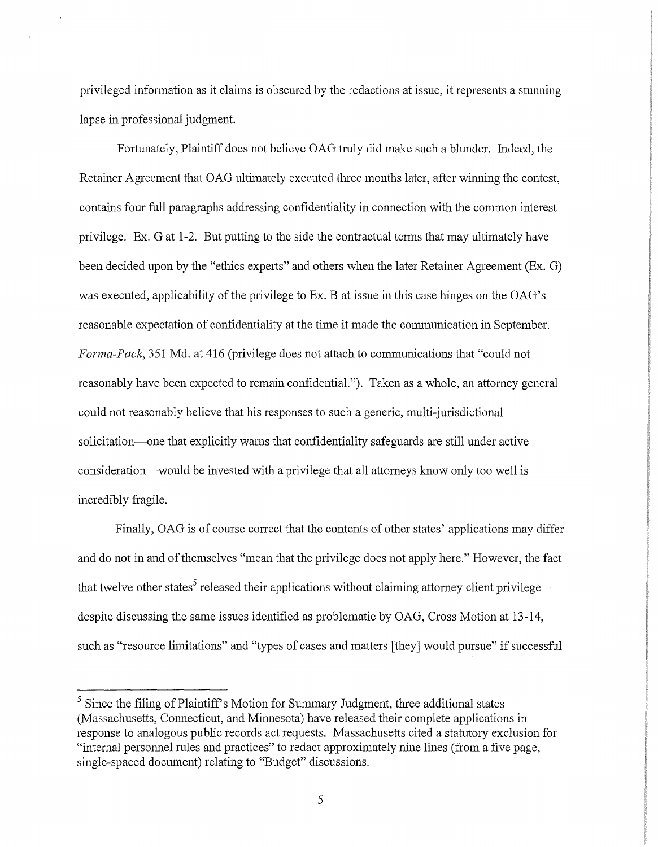privileged information as it claims is obscured by the redactions at issue, it represents a stunning lapse in professional judgment.

Fortunately, Plaintiff does not believe OAG truly did make such a blunder. Indeed, the Retainer Agreement that OAG ultimately executed three months later, after winning the contest, contains four full paragraphs addressing confidentiality in connection with the common interest privilege. Ex. G at 1-2. But putting to the side the contractual terms that may ultimately have been decided upon by the "ethics experts" and others when the later Retainer Agreement (Ex. G) was executed, applicability of the privilege to Ex. B at issue in this case hinges on the OAG's reasonable expectation of confidentiality at the time it made the communication in September. *Forma-Pack,* 351 Md. at 416 (privilege does not attach to communications that "could not reasonably have been expected to remain confidential."). Taken as a whole, an attorney general could not reasonably believe that his responses to such a generic, multi-jurisdictional solicitation—one that explicitly warns that confidentiality safeguards are still under active consideration—would be invested with a privilege that all attorneys know only too well is incredibly fragile.

Finally, OAG is of course correct that the contents of other states' applications may differ and do not in and of themselves "mean that the privilege does not apply here." However, the fact that twelve other states<sup>5</sup> released their applications without claiming attorney client privilege despite discussing the same issues identified as problematic by OAG, Cross Motion at 13-14, such as "resource limitations" and "types of cases and matters [they] would pursue" if successful

<sup>&</sup>lt;sup>5</sup> Since the filing of Plaintiff's Motion for Summary Judgment, three additional states (Massachusetts, Connecticut, and Minnesota) have released their complete applications in response to analogous public records act requests. Massachusetts cited a statutory exclusion for "internal personnel rules and practices" to redact approximately nine lines (from a five page, single-spaced document) relating to "Budget" discussions.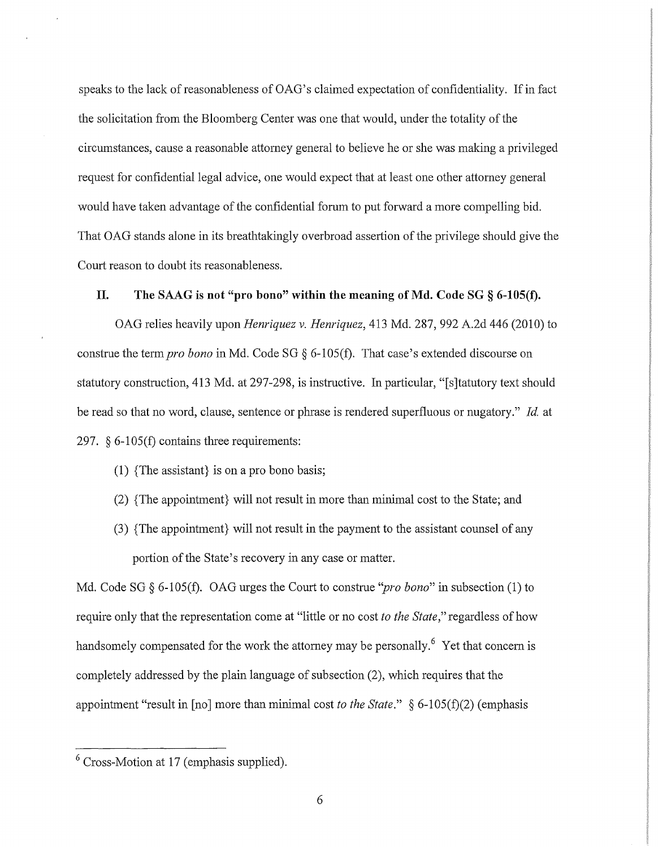speaks to the lack of reasonableness of OAG's claimed expectation of confidentiality. If in fact the solicitation from the Bloomberg Center was one that would, under the totality of the circumstances, cause a reasonable attorney general to believe he or she was making a privileged request for confidential legal advice, one would expect that at least one other attorney general would have taken advantage of the confidential forum to put forward a more compelling bid. That OAG stands alone in its breathtakingly overbroad assertion of the privilege should give the Court reason to doubt its reasonableness.

## **II. The SAAG is not "pro bono" within the meaning of Md. Code SG § 6-105(f).**

OAG relies heavily upon *Henriquez v. Henriquez,* 413 Md. 287, 992 A.2d 446 (2010) to construe the term *pro bona* in Md. Code SG § 6-105(f). That case's extended discourse on statutory construction, 413 Md. at 297-298, is instructive. In particular, "[s]tatutory text should be read so that no word, clause, sentence or phrase is rendered superfluous or nugatory." *Id.* at 297.  $\S 6-105(f)$  contains three requirements:

- (1) {The assistant} is on a pro bono basis;
- (2) {The appointment} will not result in more than minimal cost to the State; and
- (3) { The appointment} will not result in the payment to the assistant counsel of any portion of the State's recovery in any case or matter.

Md. Code SG § 6-105(f). OAG urges the Court to construe *''pro bona"* in subsection (1) to require only that the representation come at "little or no cost *to the State,"* regardless of how handsomely compensated for the work the attorney may be personally.<sup>6</sup> Yet that concern is completely addressed by the plain language of subsection (2), which requires that the appointment "result in [no] more than minimal cost *to the State."* § 6-105(£)(2) (emphasis

<sup>6</sup> Cross-Motion at 17 (emphasis supplied).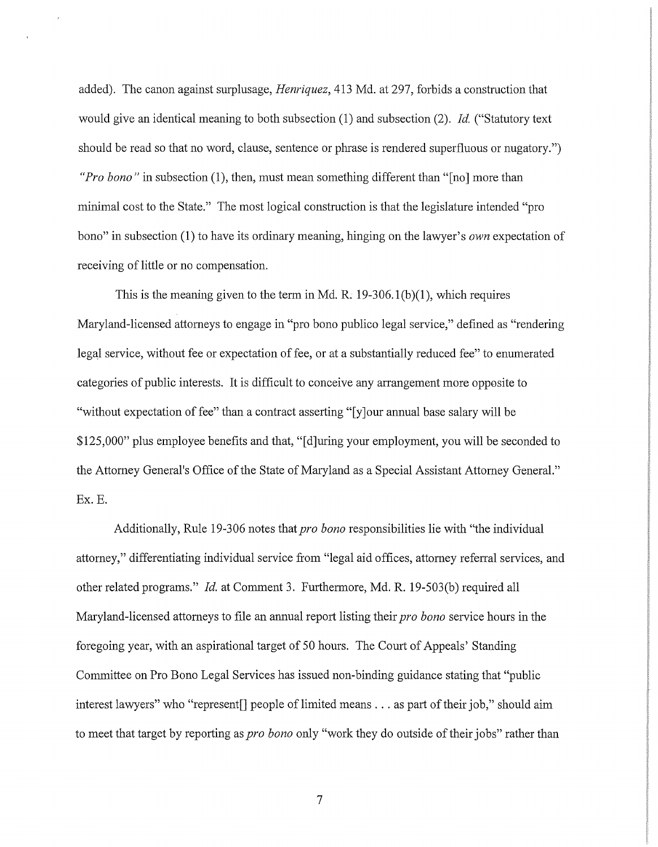added). The canon against surplusage, *Henriquez,* 413 Md. at 297, forbids a construction that would give an identical meaning to both subsection (1) and subsection (2). *Id.* ("Statutory text should be read so that no word, clause, sentence or phrase is rendered superfluous or nugatory.") *"Pro bono"* in subsection (1), then, must mean something different than "[no] more than minimal cost to the State." The most logical construction is that the legislature intended "pro bono" in subsection (1) to have its ordinary meaning, hinging on the lawyer's *own* expectation of receiving of little or no compensation.

This is the meaning given to the term in Md. R:  $19-306.1(b)(1)$ , which requires Maryland-licensed attorneys to engage in "pro bono publico legal service," defined as "rendering legal service, without fee or expectation of fee, or at a substantially reduced fee" to enumerated categories of public interests. It is difficult to conceive any arrangement more opposite to "without expectation of fee" than a contract asserting "[y]our annual base salary will be \$125,000" plus employee benefits and that, "[d]uring your employment, you will be seconded to the Attorney General's Office of the State of Maryland as a Special Assistant Attorney General." Ex. E.

Additionally, Rule 19-306 notes that *pro bona* responsibilities lie with "the individual attorney," differentiating individual service from "legal aid offices, attorney referral services, and other related programs." *Id.* at Comment 3. Furthermore, Md. R. 19-503(b) required all Maryland-licensed attorneys to file an annual report listing their *pro bona* service hours in the foregoing year, with an aspirational target of 50 hours. The Court of Appeals' Standing Committee on Pro Bono Legal Services has issued non-binding guidance stating that "public interest lawyers" who "represent<sup>[]</sup> people of limited means . . . as part of their job," should aim to meet that target by reporting as *pro bona* only "work they do outside of their jobs" rather than

7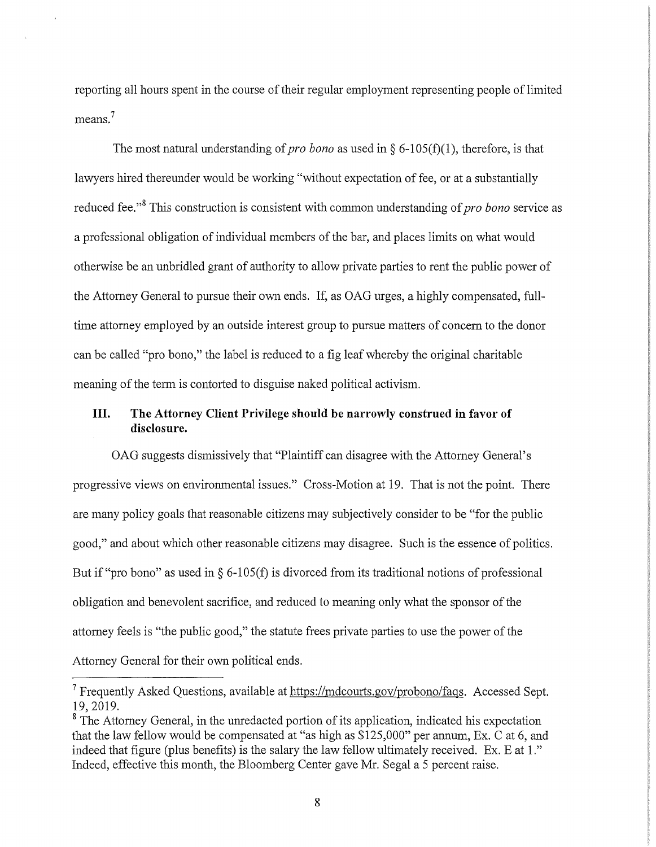reporting all hours spent in the course of their regular employment representing people of limited means.<sup>7</sup>

The most natural understanding of *pro bono* as used in  $\S$  6-105(f)(1), therefore, is that lawyers hired thereunder would be working "without expectation of fee, or at a substantially reduced fee."<sup>8</sup> This construction is consistent with common understanding of *pro bono* service as a professional obligation of individual members of the bar, and places limits on what would otherwise be an unbridled grant of authority to allow private parties to rent the public power of the Attorney General to pursue their own ends. If, as OAG urges, a highly compensated, fulltime attorney employed by an outside interest group to pursue matters of concern to the donor can be called "pro bono," the label is reduced to a fig leaf whereby the original charitable meaning of the term is contorted to disguise naked political activism.

# **III. The Attorney Client Privilege should be narrowly construed in favor of disclosure.**

OAG suggests dismissively that "Plaintiff can disagree with the Attorney General's progressive views on environmental issues." Cross-Motion at 19. That is not the point. There are many policy goals that reasonable citizens may subjectively consider to be "for the public good," and about which other reasonable citizens may disagree. Such is the essence of politics. But if "pro bono" as used in  $\S$  6-105(f) is divorced from its traditional notions of professional obligation and benevolent sacrifice, and reduced to meaning only what the sponsor of the attorney feels is "the public good," the statute frees private parties to use the power of the Attorney General for their own political ends.

<sup>7</sup> Frequently Asked Questions, available at https://mdcourts.gov/probono/faqs. Accessed Sept. 19, 2019.

<sup>&</sup>lt;sup>8</sup> The Attorney General, in the unredacted portion of its application, indicated his expectation that the law fellow would be compensated at "as high as \$125,000" per annum, Ex. C at 6, and indeed that figure (plus benefits) is the salary the law fellow ultimately received. Ex. E at 1." Indeed, effective this month, the Bloomberg Center gave Mr. Segal a 5 percent raise.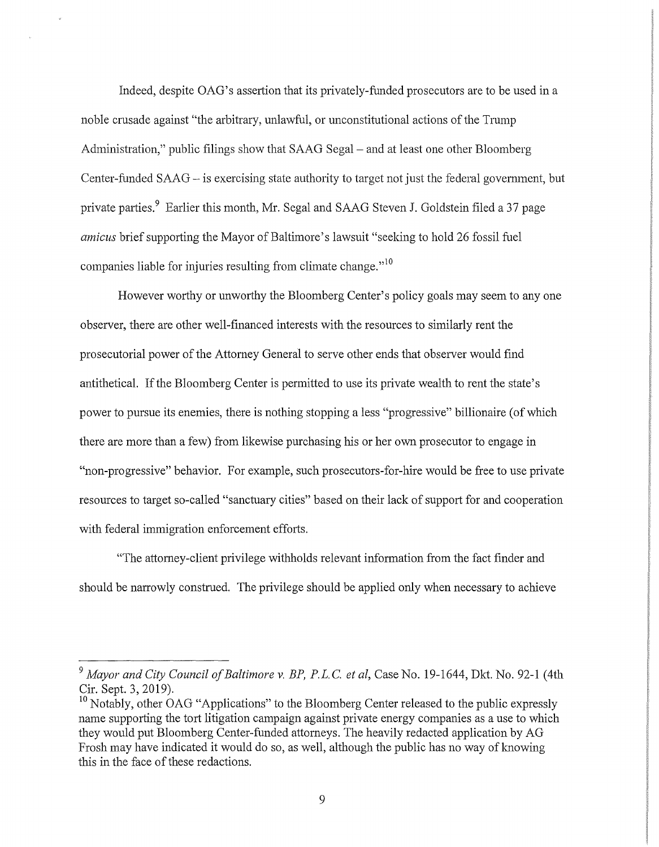Indeed, despite OAG's assertion that its privately-funded prosecutors are to be used in a noble crusade against "the arbitrary, unlawful, or unconstitutional actions of the Trump Administration," public filings show that SAAG Segal – and at least one other Bloomberg Center-funded SAAG – is exercising state authority to target not just the federal government, but private parties.<sup>9</sup> Earlier this month, Mr. Segal and SAAG Steven J. Goldstein filed a 37 page *amicus* brief supporting the Mayor of Baltimore's lawsuit "seeking to hold 26 fossil fuel companies liable for injuries resulting from climate change."<sup>10</sup>

However worthy or unworthy the Bloomberg Center's policy goals may seem to any one observer, there are other well-financed interests with the resources to similarly rent the prosecutorial power of the Attorney General to serve other ends that observer would find antithetical. If the Bloomberg Center is permitted to use its private wealth to rent the state's power to pursue its enemies, there is nothing stopping a less "progressive" billionaire (of which there are more than a few) from likewise purchasing his or her own prosecutor to engage in "non-progressive" behavior. For example, such prosecutors-for-hire would be free to use private resources to target so-called "sanctuary cities" based on their lack of support for and cooperation with federal immigration enforcement efforts.

"The attorney-client privilege withholds relevant information from the fact finder and should be narrowly construed. The privilege should be applied only when necessary to achieve

<sup>&</sup>lt;sup>9</sup> Mayor and City Council of Baltimore v. BP, P.L.C. et al, Case No. 19-1644, Dkt. No. 92-1 (4th Cir. Sept. 3, 2019).

<sup>&</sup>lt;sup>10</sup> Notably, other OAG "Applications" to the Bloomberg Center released to the public expressly name supporting the tort litigation campaign against private energy companies as a use to which they would put Bloomberg Center-funded attorneys. The heavily redacted application by AG Frosh may have indicated it would do so, as well, although the public has no way of knowing this in the face of these redactions.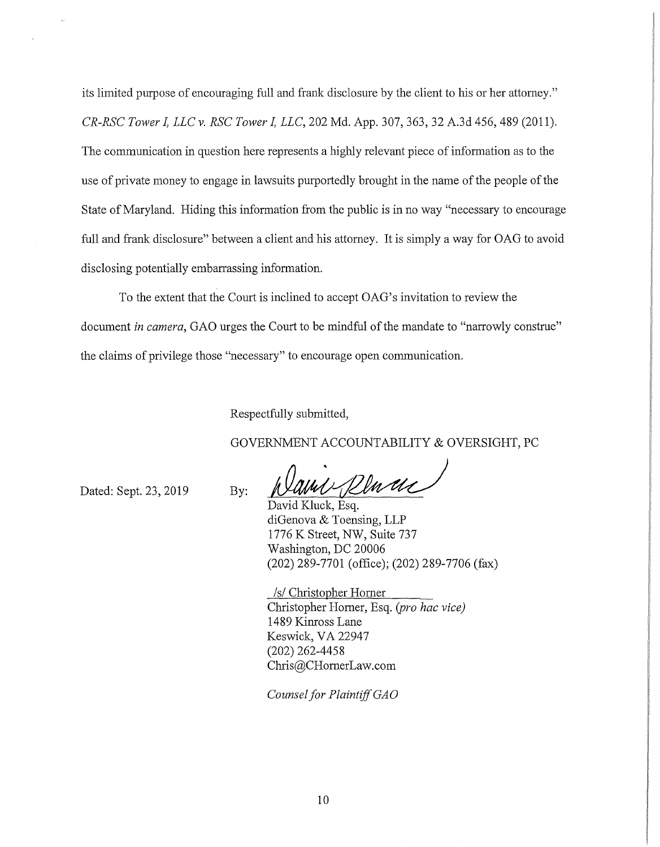its limited purpose of encouraging full and frank disclosure by the client to his or her attorney." *CR-RSC Tower* I, *LLC v. RSC Tower* I, *LLC,* 202 Md. App. 307,363, 32 A.3d 456,489 (2011). The communication in question here represents a highly relevant piece of information as to the use of private money to engage in lawsuits purportedly brought in the name of the people of the State of Maryland. Hiding this information from the public is in no way "necessary to encourage full and frank disclosure" between a client and his attorney. It is simply a way for OAG to avoid disclosing potentially embarrassing information.

To the extent that the Court is inclined to accept OAG's invitation to review the document *in camera*, GAO urges the Court to be mindful of the mandate to "narrowly construe" the claims of privilege those "necessary" to encourage open communication.

Respectfully submitted,

GOVERNMENT ACCOUNTABILITY & OVERSIGHT, PC

Dated: Sept. 23, 2019

By:

David Kluck, Esq. fully submitted,<br>fully submitted,<br>RNMENT ACCOUNTABILITY & OVERSIGHT, PC<br>David Kluck, Esq.<br>David Kluck, Esq.<br>iiGenova & Toensing, LLP diGenova & Toensing, LLP 1776 K Street, NW, Suite 737 Washington, DC 20006 (202) 289-7701 (office); (202) 289-7706 (fax)

/s/ Christopher Homer Christopher Homer, Esq. *(pro hac vice)*  1489 Kinross Lane Keswick, VA 22947 (202) 262-4458 Chris@CHomerLaw.com

*Counsel for Plaintiff GAO*